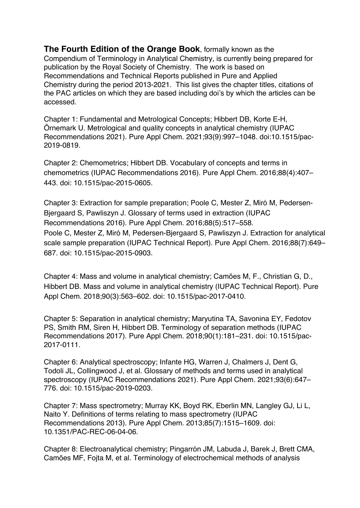**The Fourth Edition of the Orange Book**, formally known as the Compendium of Terminology in Analytical Chemistry, is currently being prepared for publication by the Royal Society of Chemistry. The work is based on Recommendations and Technical Reports published in Pure and Applied Chemistry during the period 2013-2021. This list gives the chapter titles, citations of the PAC articles on which they are based including doi's by which the articles can be accessed.

Chapter 1: Fundamental and Metrological Concepts; Hibbert DB, Korte E-H, Örnemark U. Metrological and quality concepts in analytical chemistry (IUPAC Recommendations 2021). Pure Appl Chem. 2021;93(9):997–1048. doi:10.1515/pac-2019-0819.

Chapter 2: Chemometrics; Hibbert DB. Vocabulary of concepts and terms in chemometrics (IUPAC Recommendations 2016). Pure Appl Chem. 2016;88(4):407– 443. doi: 10.1515/pac-2015-0605.

Chapter 3: Extraction for sample preparation; Poole C, Mester Z, Miró M, Pedersen-Bjergaard S, Pawliszyn J. Glossary of terms used in extraction (IUPAC Recommendations 2016). Pure Appl Chem. 2016;88(5):517–558. Poole C, Mester Z, Miró M, Pedersen-Bjergaard S, Pawliszyn J. Extraction for analytical scale sample preparation (IUPAC Technical Report). Pure Appl Chem. 2016;88(7):649– 687. doi: 10.1515/pac-2015-0903.

Chapter 4: Mass and volume in analytical chemistry; Camões M, F., Christian G, D., Hibbert DB. Mass and volume in analytical chemistry (IUPAC Technical Report). Pure Appl Chem. 2018;90(3):563–602. doi: 10.1515/pac-2017-0410.

Chapter 5: Separation in analytical chemistry; Maryutina TA, Savonina EY, Fedotov PS, Smith RM, Siren H, Hibbert DB. Terminology of separation methods (IUPAC Recommendations 2017). Pure Appl Chem. 2018;90(1):181–231. doi: 10.1515/pac-2017-0111.

Chapter 6: Analytical spectroscopy; Infante HG, Warren J, Chalmers J, Dent G, Todoli JL, Collingwood J, et al. Glossary of methods and terms used in analytical spectroscopy (IUPAC Recommendations 2021). Pure Appl Chem. 2021;93(6):647– 776. doi: 10.1515/pac-2019-0203.

Chapter 7: Mass spectrometry; Murray KK, Boyd RK, Eberlin MN, Langley GJ, Li L, Naito Y. Definitions of terms relating to mass spectrometry (IUPAC Recommendations 2013). Pure Appl Chem. 2013;85(7):1515–1609. doi: 10.1351/PAC-REC-06-04-06.

Chapter 8: Electroanalytical chemistry; Pingarrón JM, Labuda J, Barek J, Brett CMA, Camões MF, Fojta M, et al. Terminology of electrochemical methods of analysis